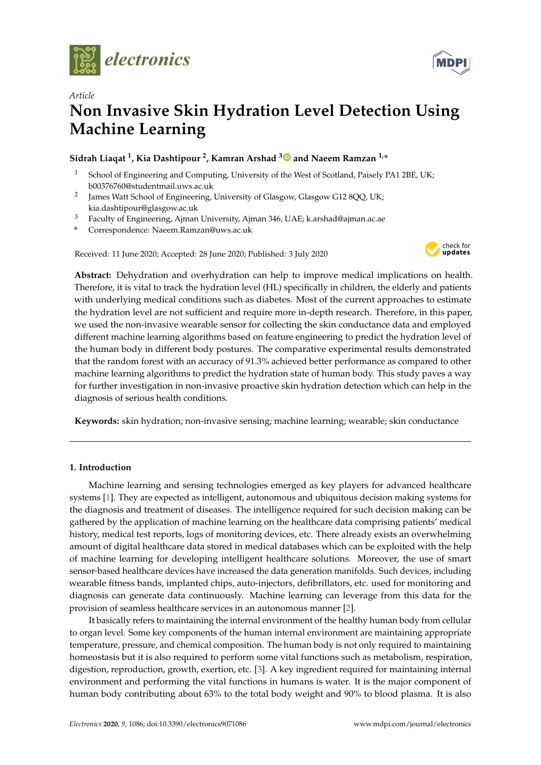



# *Article* **Non Invasive Skin Hydration Level Detection Using Machine Learning**

## **Sidrah Liaqat <sup>1</sup> , Kia Dashtipour <sup>2</sup> , Kamran Arshad <sup>3</sup> and Naeem Ramzan 1,\***

- School of Engineering and Computing, University of the West of Scotland, Paisely PA1 2BE, UK; b00376760@studentmail.uws.ac.uk
- 2 James Watt School of Engineering, University of Glasgow, Glasgow G12 8QQ, UK; kia.dashtipour@glasgow.ac.uk
- <sup>3</sup> Faculty of Engineering, Ajman University, Ajman 346, UAE; k.arshad@ajman.ac.ae
- **\*** Correspondence: Naeem.Ramzan@uws.ac.uk

Received: 11 June 2020; Accepted: 28 June 2020; Published: 3 July 2020



**Abstract:** Dehydration and overhydration can help to improve medical implications on health. Therefore, it is vital to track the hydration level (HL) specifically in children, the elderly and patients with underlying medical conditions such as diabetes. Most of the current approaches to estimate the hydration level are not sufficient and require more in-depth research. Therefore, in this paper, we used the non-invasive wearable sensor for collecting the skin conductance data and employed different machine learning algorithms based on feature engineering to predict the hydration level of the human body in different body postures. The comparative experimental results demonstrated that the random forest with an accuracy of 91.3% achieved better performance as compared to other machine learning algorithms to predict the hydration state of human body. This study paves a way for further investigation in non-invasive proactive skin hydration detection which can help in the diagnosis of serious health conditions.

**Keywords:** skin hydration; non-invasive sensing; machine learning; wearable; skin conductance

## **1. Introduction**

Machine learning and sensing technologies emerged as key players for advanced healthcare systems [1]. They are expected as intelligent, autonomous and ubiquitous decision making systems for the diagnosis and treatment of diseases. The intelligence required for such decision making can be gathered by the application of machine learning on the healthcare data comprising patients' medical history, medical test reports, logs of monitoring devices, etc. There already exists an overwhelming amount of digital healthcare data stored in medical databases which can be exploited with the help of machine learning for developing intelligent healthcare solutions. Moreover, the use of smart sensor-based healthcare devices have increased the data generation manifolds. Such devices, including wearable fitness bands, implanted chips, auto-injectors, defibrillators, etc. used for monitoring and diagnosis can generate data continuously. Machine learning can leverage from this data for the provision of seamless healthcare services in an autonomous manner [2].

It basically refers to maintaining the internal environment of the healthy human body from cellular to organ level. Some key components of the human internal environment are maintaining appropriate temperature, pressure, and chemical composition. The human body is not only required to maintaining homeostasis but it is also required to perform some vital functions such as metabolism, respiration, digestion, reproduction, growth, exertion, etc. [3]. A key ingredient required for maintaining internal environment and performing the vital functions in humans is water. It is the major component of human body contributing about 63% to the total body weight and 90% to blood plasma. It is also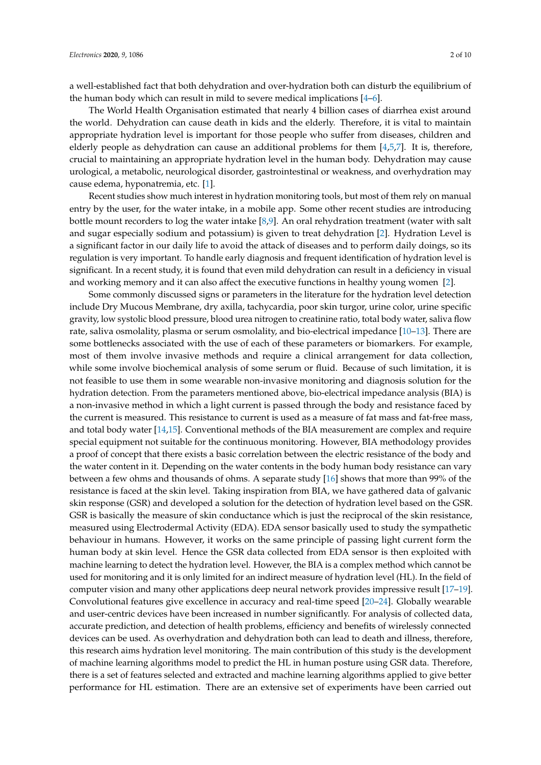a well-established fact that both dehydration and over-hydration both can disturb the equilibrium of the human body which can result in mild to severe medical implications [4–6].

The World Health Organisation estimated that nearly 4 billion cases of diarrhea exist around the world. Dehydration can cause death in kids and the elderly. Therefore, it is vital to maintain appropriate hydration level is important for those people who suffer from diseases, children and elderly people as dehydration can cause an additional problems for them [4,5,7]. It is, therefore, crucial to maintaining an appropriate hydration level in the human body. Dehydration may cause urological, a metabolic, neurological disorder, gastrointestinal or weakness, and overhydration may cause edema, hyponatremia, etc. [1].

Recent studies show much interest in hydration monitoring tools, but most of them rely on manual entry by the user, for the water intake, in a mobile app. Some other recent studies are introducing bottle mount recorders to log the water intake [8,9]. An oral rehydration treatment (water with salt and sugar especially sodium and potassium) is given to treat dehydration [2]. Hydration Level is a significant factor in our daily life to avoid the attack of diseases and to perform daily doings, so its regulation is very important. To handle early diagnosis and frequent identification of hydration level is significant. In a recent study, it is found that even mild dehydration can result in a deficiency in visual and working memory and it can also affect the executive functions in healthy young women [2].

Some commonly discussed signs or parameters in the literature for the hydration level detection include Dry Mucous Membrane, dry axilla, tachycardia, poor skin turgor, urine color, urine specific gravity, low systolic blood pressure, blood urea nitrogen to creatinine ratio, total body water, saliva flow rate, saliva osmolality, plasma or serum osmolality, and bio-electrical impedance [10–13]. There are some bottlenecks associated with the use of each of these parameters or biomarkers. For example, most of them involve invasive methods and require a clinical arrangement for data collection, while some involve biochemical analysis of some serum or fluid. Because of such limitation, it is not feasible to use them in some wearable non-invasive monitoring and diagnosis solution for the hydration detection. From the parameters mentioned above, bio-electrical impedance analysis (BIA) is a non-invasive method in which a light current is passed through the body and resistance faced by the current is measured. This resistance to current is used as a measure of fat mass and fat-free mass, and total body water [14,15]. Conventional methods of the BIA measurement are complex and require special equipment not suitable for the continuous monitoring. However, BIA methodology provides a proof of concept that there exists a basic correlation between the electric resistance of the body and the water content in it. Depending on the water contents in the body human body resistance can vary between a few ohms and thousands of ohms. A separate study [16] shows that more than 99% of the resistance is faced at the skin level. Taking inspiration from BIA, we have gathered data of galvanic skin response (GSR) and developed a solution for the detection of hydration level based on the GSR. GSR is basically the measure of skin conductance which is just the reciprocal of the skin resistance, measured using Electrodermal Activity (EDA). EDA sensor basically used to study the sympathetic behaviour in humans. However, it works on the same principle of passing light current form the human body at skin level. Hence the GSR data collected from EDA sensor is then exploited with machine learning to detect the hydration level. However, the BIA is a complex method which cannot be used for monitoring and it is only limited for an indirect measure of hydration level (HL). In the field of computer vision and many other applications deep neural network provides impressive result [17–19]. Convolutional features give excellence in accuracy and real-time speed [20–24]. Globally wearable and user-centric devices have been increased in number significantly. For analysis of collected data, accurate prediction, and detection of health problems, efficiency and benefits of wirelessly connected devices can be used. As overhydration and dehydration both can lead to death and illness, therefore, this research aims hydration level monitoring. The main contribution of this study is the development of machine learning algorithms model to predict the HL in human posture using GSR data. Therefore, there is a set of features selected and extracted and machine learning algorithms applied to give better performance for HL estimation. There are an extensive set of experiments have been carried out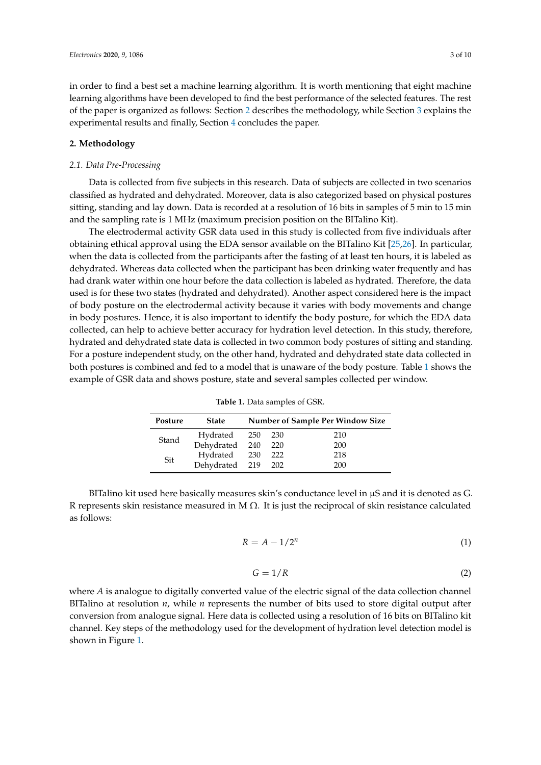in order to find a best set a machine learning algorithm. It is worth mentioning that eight machine learning algorithms have been developed to find the best performance of the selected features. The rest of the paper is organized as follows: Section 2 describes the methodology, while Section 3 explains the experimental results and finally, Section 4 concludes the paper.

## **2. Methodology**

## *2.1. Data Pre-Processing*

Data is collected from five subjects in this research. Data of subjects are collected in two scenarios classified as hydrated and dehydrated. Moreover, data is also categorized based on physical postures sitting, standing and lay down. Data is recorded at a resolution of 16 bits in samples of 5 min to 15 min and the sampling rate is 1 MHz (maximum precision position on the BITalino Kit).

The electrodermal activity GSR data used in this study is collected from five individuals after obtaining ethical approval using the EDA sensor available on the BITalino Kit [25,26]. In particular, when the data is collected from the participants after the fasting of at least ten hours, it is labeled as dehydrated. Whereas data collected when the participant has been drinking water frequently and has had drank water within one hour before the data collection is labeled as hydrated. Therefore, the data used is for these two states (hydrated and dehydrated). Another aspect considered here is the impact of body posture on the electrodermal activity because it varies with body movements and change in body postures. Hence, it is also important to identify the body posture, for which the EDA data collected, can help to achieve better accuracy for hydration level detection. In this study, therefore, hydrated and dehydrated state data is collected in two common body postures of sitting and standing. For a posture independent study, on the other hand, hydrated and dehydrated state data collected in both postures is combined and fed to a model that is unaware of the body posture. Table 1 shows the example of GSR data and shows posture, state and several samples collected per window.

| Posture | <b>State</b>       | <b>Number of Sample Per Window Size</b> |     |     |  |  |  |
|---------|--------------------|-----------------------------------------|-----|-----|--|--|--|
|         | Hydrated 250       |                                         | 230 | 210 |  |  |  |
| Stand   | Dehydrated 240     |                                         | 220 | 200 |  |  |  |
| Sit     | Hydrated 230       |                                         | 222 | 218 |  |  |  |
|         | Dehydrated 219 202 |                                         |     | 200 |  |  |  |

**Table 1.** Data samples of GSR.

BITalino kit used here basically measures skin's conductance level in  $\mu$ S and it is denoted as G. R represents skin resistance measured in M  $\Omega$ . It is just the reciprocal of skin resistance calculated as follows:

$$
R = A - 1/2^n \tag{1}
$$

$$
G = 1/R \tag{2}
$$

where *A* is analogue to digitally converted value of the electric signal of the data collection channel BITalino at resolution *n*, while *n* represents the number of bits used to store digital output after conversion from analogue signal. Here data is collected using a resolution of 16 bits on BITalino kit channel. Key steps of the methodology used for the development of hydration level detection model is shown in Figure 1.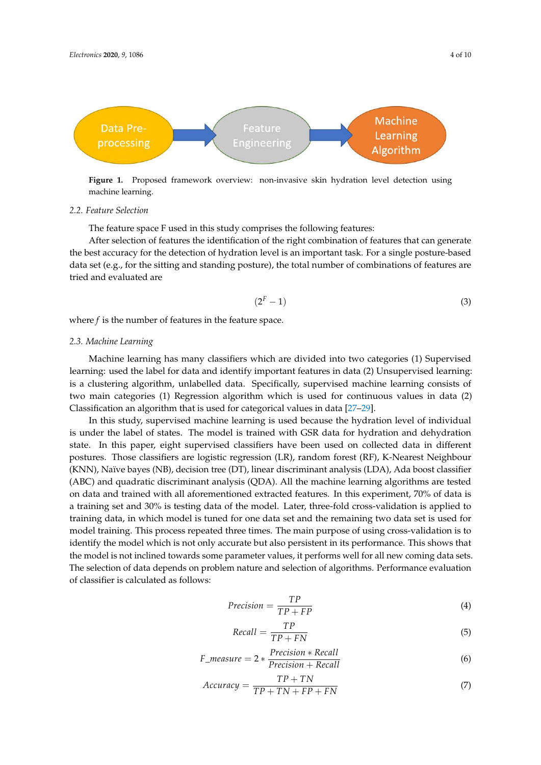

**Figure 1.** Proposed framework overview: non-invasive skin hydration level detection using machine learning.

#### *2.2. Feature Selection*

The feature space F used in this study comprises the following features:

After selection of features the identification of the right combination of features that can generate the best accuracy for the detection of hydration level is an important task. For a single posture-based data set (e.g., for the sitting and standing posture), the total number of combinations of features are tried and evaluated are

$$
(2F - 1)
$$
 (3)

where *f* is the number of features in the feature space.

#### *2.3. Machine Learning*

Machine learning has many classifiers which are divided into two categories (1) Supervised learning: used the label for data and identify important features in data (2) Unsupervised learning: is a clustering algorithm, unlabelled data. Specifically, supervised machine learning consists of two main categories (1) Regression algorithm which is used for continuous values in data (2) Classification an algorithm that is used for categorical values in data [27–29].

In this study, supervised machine learning is used because the hydration level of individual is under the label of states. The model is trained with GSR data for hydration and dehydration state. In this paper, eight supervised classifiers have been used on collected data in different postures. Those classifiers are logistic regression (LR), random forest (RF), K-Nearest Neighbour (KNN), Naïve bayes (NB), decision tree (DT), linear discriminant analysis (LDA), Ada boost classifier (ABC) and quadratic discriminant analysis (QDA). All the machine learning algorithms are tested on data and trained with all aforementioned extracted features. In this experiment, 70% of data is a training set and 30% is testing data of the model. Later, three-fold cross-validation is applied to training data, in which model is tuned for one data set and the remaining two data set is used for model training. This process repeated three times. The main purpose of using cross-validation is to identify the model which is not only accurate but also persistent in its performance. This shows that the model is not inclined towards some parameter values, it performs well for all new coming data sets. The selection of data depends on problem nature and selection of algorithms. Performance evaluation of classifier is calculated as follows:

$$
Precision = \frac{TP}{TP + FP}
$$
\n(4)

$$
Recall = \frac{TP}{TP + FN}
$$
\n<sup>(5)</sup>

$$
F\_measure = 2 * \frac{Precision * Recall}{Precision + Recall}
$$
\n(6)

$$
Accuracy = \frac{TP + TN}{TP + TN + FP + FN}
$$
 (7)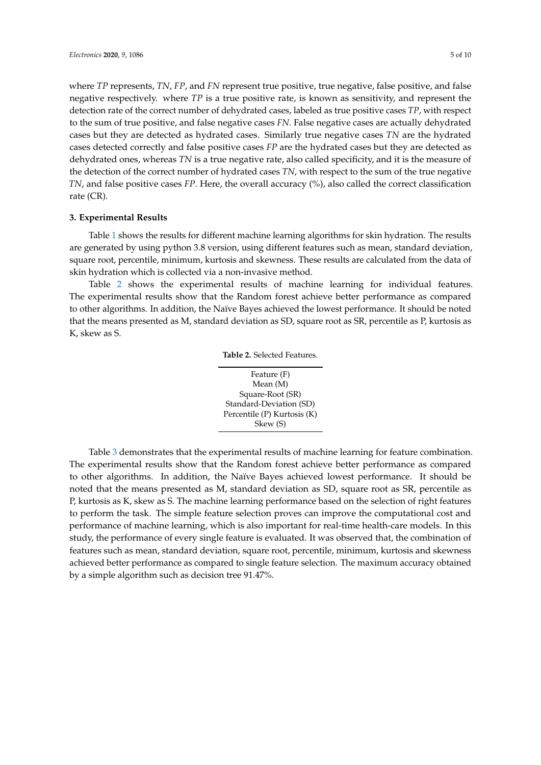where *TP* represents, *TN*, *FP*, and *FN* represent true positive, true negative, false positive, and false negative respectively. where *TP* is a true positive rate, is known as sensitivity, and represent the detection rate of the correct number of dehydrated cases, labeled as true positive cases *TP*, with respect to the sum of true positive, and false negative cases *FN*. False negative cases are actually dehydrated cases but they are detected as hydrated cases. Similarly true negative cases *TN* are the hydrated cases detected correctly and false positive cases *FP* are the hydrated cases but they are detected as dehydrated ones, whereas *TN* is a true negative rate, also called specificity, and it is the measure of the detection of the correct number of hydrated cases *TN*, with respect to the sum of the true negative *TN*, and false positive cases *FP*. Here, the overall accuracy (%), also called the correct classification rate (CR).

## **3. Experimental Results**

Table 1 shows the results for different machine learning algorithms for skin hydration. The results are generated by using python 3.8 version, using different features such as mean, standard deviation, square root, percentile, minimum, kurtosis and skewness. These results are calculated from the data of skin hydration which is collected via a non-invasive method.

Table 2 shows the experimental results of machine learning for individual features. The experimental results show that the Random forest achieve better performance as compared to other algorithms. In addition, the Naïve Bayes achieved the lowest performance. It should be noted that the means presented as M, standard deviation as SD, square root as SR, percentile as P, kurtosis as K, skew as S.

|  |  | Table 2. Selected Features. |
|--|--|-----------------------------|
|--|--|-----------------------------|



Table 3 demonstrates that the experimental results of machine learning for feature combination. The experimental results show that the Random forest achieve better performance as compared to other algorithms. In addition, the Naïve Bayes achieved lowest performance. It should be noted that the means presented as M, standard deviation as SD, square root as SR, percentile as P, kurtosis as K, skew as S. The machine learning performance based on the selection of right features to perform the task. The simple feature selection proves can improve the computational cost and performance of machine learning, which is also important for real-time health-care models. In this study, the performance of every single feature is evaluated. It was observed that, the combination of features such as mean, standard deviation, square root, percentile, minimum, kurtosis and skewness achieved better performance as compared to single feature selection. The maximum accuracy obtained by a simple algorithm such as decision tree 91.47%.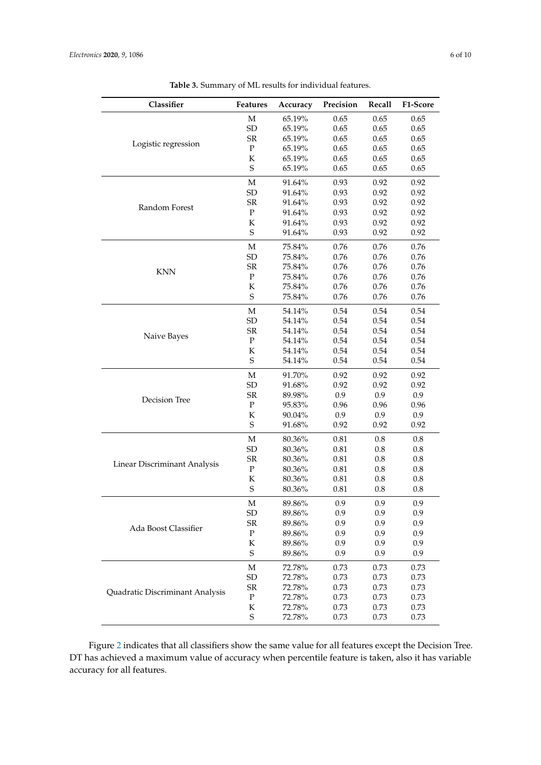| Classifier                      | Features    | Accuracy | Precision | Recall    | F1-Score |
|---------------------------------|-------------|----------|-----------|-----------|----------|
|                                 | $\mathbf M$ | 65.19%   | 0.65      | 0.65      | 0.65     |
|                                 | ${\rm SD}$  | 65.19%   | 0.65      | 0.65      | 0.65     |
|                                 | ${\rm SR}$  | 65.19%   | 0.65      | 0.65      | 0.65     |
| Logistic regression             | ${\bf P}$   | 65.19%   | 0.65      | 0.65      | 0.65     |
|                                 | $\rm K$     | 65.19%   | 0.65      | 0.65      | 0.65     |
|                                 | S           | 65.19%   | 0.65      | 0.65      | 0.65     |
|                                 | $\mathbf M$ | 91.64%   | 0.93      | 0.92      | 0.92     |
|                                 | SD          | 91.64%   | 0.93      | 0.92      | 0.92     |
|                                 | ${\rm SR}$  | 91.64%   | 0.93      | 0.92      | 0.92     |
| Random Forest                   | ${\bf P}$   | 91.64%   | 0.93      | 0.92      | 0.92     |
|                                 | К           | 91.64%   | 0.93      | 0.92      | 0.92     |
|                                 | $\mathbf S$ | 91.64%   | 0.93      | 0.92      | 0.92     |
|                                 | M           | 75.84%   | 0.76      | 0.76      | 0.76     |
|                                 | ${\rm SD}$  | 75.84%   | 0.76      | 0.76      | 0.76     |
|                                 | ${\rm SR}$  | 75.84%   | 0.76      | 0.76      | 0.76     |
| <b>KNN</b>                      | ${\bf P}$   | 75.84%   | 0.76      | 0.76      | 0.76     |
|                                 | К           | 75.84%   | 0.76      | 0.76      | 0.76     |
|                                 | $\mathbf S$ | 75.84%   | 0.76      | 0.76      | 0.76     |
|                                 | $\mathbf M$ | 54.14%   | 0.54      | 0.54      | 0.54     |
|                                 | ${\rm SD}$  | 54.14%   | 0.54      | 0.54      | 0.54     |
|                                 | ${\sf SR}$  | 54.14%   | 0.54      | 0.54      | 0.54     |
| Naive Bayes                     | ${\bf P}$   | 54.14%   | 0.54      | 0.54      | 0.54     |
|                                 | $\rm K$     | 54.14%   | 0.54      | 0.54      | 0.54     |
|                                 | S           | 54.14%   | 0.54      | 0.54      | 0.54     |
|                                 | $\mathbf M$ | 91.70%   | 0.92      | 0.92      | 0.92     |
|                                 | SD          | 91.68%   | 0.92      | 0.92      | 0.92     |
|                                 | ${\sf SR}$  | 89.98%   | 0.9       | 0.9       | 0.9      |
| Decision Tree                   | ${\bf P}$   | 95.83%   | 0.96      | 0.96      | 0.96     |
|                                 | $\rm K$     | 90.04%   | 0.9       | 0.9       | 0.9      |
|                                 | S           | 91.68%   | 0.92      | 0.92      | 0.92     |
|                                 | M           | 80.36%   | 0.81      | 0.8       | 0.8      |
|                                 | ${\rm SD}$  | 80.36%   | 0.81      | $\rm 0.8$ | $0.8\,$  |
|                                 | ${\sf SR}$  | 80.36%   | $0.81\,$  | $0.8\,$   | $0.8\,$  |
| Linear Discriminant Analysis    | ${\bf P}$   | 80.36%   | $0.81\,$  | $0.8\,$   | $0.8\,$  |
|                                 | $\rm K$     | 80.36%   | $0.81\,$  | $0.8\,$   | $0.8\,$  |
|                                 | $\mathbf S$ | 80.36%   | 0.81      | 0.8       | 0.8      |
|                                 | $\mathbf M$ | 89.86%   | 0.9       | 0.9       | 0.9      |
|                                 | SD          | 89.86%   | 0.9       | 0.9       | 0.9      |
|                                 | ${\sf SR}$  | 89.86%   | 0.9       | 0.9       | 0.9      |
| Ada Boost Classifier            | $\mathbf P$ | 89.86%   | 0.9       | 0.9       | 0.9      |
|                                 | K           | 89.86%   | 0.9       | 0.9       | 0.9      |
|                                 | $\mathbf S$ | 89.86%   | 0.9       | 0.9       | 0.9      |
|                                 | M           | 72.78%   | 0.73      | 0.73      | 0.73     |
|                                 | ${\rm SD}$  | 72.78%   | 0.73      | 0.73      | 0.73     |
|                                 | ${\sf SR}$  | 72.78%   | 0.73      | 0.73      | 0.73     |
| Quadratic Discriminant Analysis | P           | 72.78%   | 0.73      | 0.73      | 0.73     |
|                                 | K           | 72.78%   | 0.73      | 0.73      | 0.73     |
|                                 | $\mathbf S$ | 72.78%   | 0.73      | 0.73      | 0.73     |

**Table 3.** Summary of ML results for individual features.

Figure 2 indicates that all classifiers show the same value for all features except the Decision Tree. DT has achieved a maximum value of accuracy when percentile feature is taken, also it has variable accuracy for all features.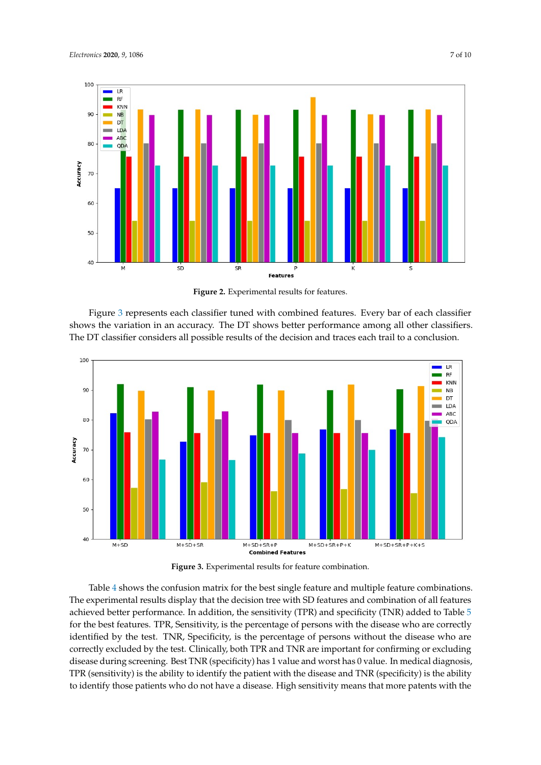

**Figure 2.** Experimental results for features.

Figure 3 represents each classifier tuned with combined features. Every bar of each classifier shows the variation in an accuracy. The DT shows better performance among all other classifiers. The DT classifier considers all possible results of the decision and traces each trail to a conclusion.



**Figure 3.** Experimental results for feature combination.

Table 4 shows the confusion matrix for the best single feature and multiple feature combinations. The experimental results display that the decision tree with SD features and combination of all features achieved better performance. In addition, the sensitivity (TPR) and specificity (TNR) added to Table 5 for the best features. TPR, Sensitivity, is the percentage of persons with the disease who are correctly identified by the test. TNR, Specificity, is the percentage of persons without the disease who are correctly excluded by the test. Clinically, both TPR and TNR are important for confirming or excluding disease during screening. Best TNR (specificity) has 1 value and worst has 0 value. In medical diagnosis, TPR (sensitivity) is the ability to identify the patient with the disease and TNR (specificity) is the ability to identify those patients who do not have a disease. High sensitivity means that more patents with the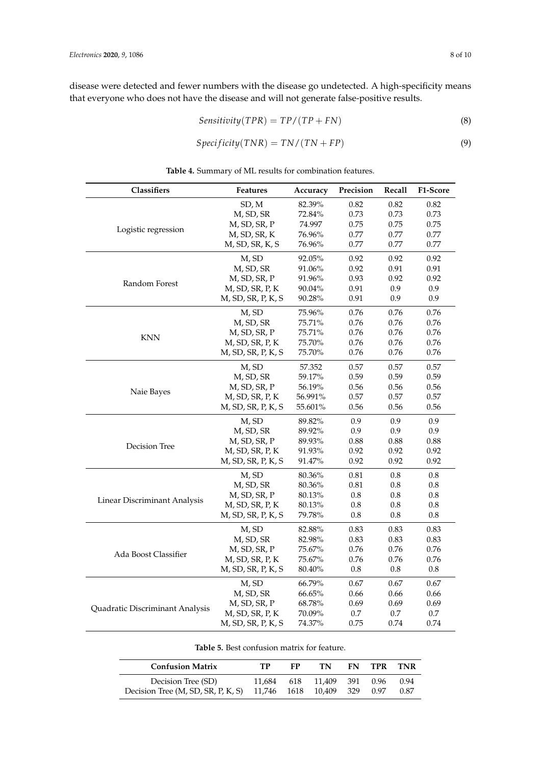disease were detected and fewer numbers with the disease go undetected. A high-specificity means that everyone who does not have the disease and will not generate false-positive results.

$$
Sensitivity(TPR) = TP/(TP + FN)
$$
\n(8)

$$
Specificity(TNR) = TN/(TN + FP)
$$
\n(9)

| Classifiers                     | <b>Features</b>    | Accuracy | Precision | Recall  | F1-Score |
|---------------------------------|--------------------|----------|-----------|---------|----------|
|                                 | SD, M              | 82.39%   | 0.82      | 0.82    | 0.82     |
|                                 | M, SD, SR          | 72.84%   | 0.73      | 0.73    | 0.73     |
|                                 | M, SD, SR, P       | 74.997   | 0.75      | 0.75    | 0.75     |
| Logistic regression             | M, SD, SR, K       | 76.96%   | 0.77      | 0.77    | 0.77     |
|                                 | M, SD, SR, K, S    | 76.96%   | 0.77      | 0.77    | 0.77     |
|                                 | M, SD              | 92.05%   | 0.92      | 0.92    | 0.92     |
|                                 | M, SD, SR          | 91.06%   | 0.92      | 0.91    | 0.91     |
|                                 | M, SD, SR, P       | 91.96%   | 0.93      | 0.92    | 0.92     |
| Random Forest                   | M, SD, SR, P, K    | 90.04%   | 0.91      | 0.9     | 0.9      |
|                                 | M, SD, SR, P, K, S | 90.28%   | 0.91      | 0.9     | 0.9      |
|                                 | M, SD              | 75.96%   | 0.76      | 0.76    | 0.76     |
|                                 | M, SD, SR          | 75.71%   | 0.76      | 0.76    | 0.76     |
|                                 | M, SD, SR, P       | 75.71%   | 0.76      | 0.76    | 0.76     |
| <b>KNN</b>                      | M, SD, SR, P, K    | 75.70%   | 0.76      | 0.76    | 0.76     |
|                                 | M, SD, SR, P, K, S | 75.70%   | 0.76      | 0.76    | 0.76     |
|                                 | M, SD              | 57.352   | 0.57      | 0.57    | 0.57     |
|                                 | M, SD, SR          | 59.17%   | 0.59      | 0.59    | 0.59     |
|                                 | M, SD, SR, P       | 56.19%   | 0.56      | 0.56    | 0.56     |
| Naie Bayes                      | M, SD, SR, P, K    | 56.991%  | 0.57      | 0.57    | 0.57     |
|                                 | M, SD, SR, P, K, S | 55.601%  | 0.56      | 0.56    | 0.56     |
|                                 | M, SD              | 89.82%   | 0.9       | 0.9     | 0.9      |
|                                 | M, SD, SR          | 89.92%   | 0.9       | 0.9     | 0.9      |
|                                 | M, SD, SR, P       | 89.93%   | 0.88      | 0.88    | 0.88     |
| Decision Tree                   | M, SD, SR, P, K    | 91.93%   | 0.92      | 0.92    | 0.92     |
|                                 | M, SD, SR, P, K, S | 91.47%   | 0.92      | 0.92    | 0.92     |
|                                 | M, SD              | 80.36%   | 0.81      | 0.8     | 0.8      |
|                                 | M, SD, SR          | 80.36%   | $0.81\,$  | $0.8\,$ | $0.8\,$  |
|                                 | M, SD, SR, P       | 80.13%   | 0.8       | 0.8     | 0.8      |
| Linear Discriminant Analysis    | M, SD, SR, P, K    | 80.13%   | 0.8       | 0.8     | $0.8\,$  |
|                                 | M, SD, SR, P, K, S | 79.78%   | 0.8       | 0.8     | $0.8\,$  |
|                                 | M, SD              | 82.88%   | 0.83      | 0.83    | 0.83     |
|                                 | M, SD, SR          | 82.98%   | 0.83      | 0.83    | 0.83     |
|                                 | M, SD, SR, P       | 75.67%   | 0.76      | 0.76    | 0.76     |
| Ada Boost Classifier            | M, SD, SR, P, K    | 75.67%   | 0.76      | 0.76    | 0.76     |
|                                 | M, SD, SR, P, K, S | 80.40%   | $0.8\,$   | $0.8\,$ | $0.8\,$  |
|                                 | M, SD              | 66.79%   | 0.67      | 0.67    | 0.67     |
|                                 | M, SD, SR          | 66.65%   | 0.66      | 0.66    | 0.66     |
|                                 | M, SD, SR, P       | 68.78%   | 0.69      | 0.69    | 0.69     |
| Quadratic Discriminant Analysis | M, SD, SR, P, K    | 70.09%   | 0.7       | 0.7     | 0.7      |
|                                 | M, SD, SR, P, K, S | 74.37%   | 0.75      | 0.74    | 0.74     |

**Table 4.** Summary of ML results for combination features.

|  | <b>Table 5.</b> Best confusion matrix for feature. |  |  |
|--|----------------------------------------------------|--|--|
|--|----------------------------------------------------|--|--|

| <b>Confusion Matrix</b>            | тр | FР | TN.                        | FN - | TPR  | TNR  |
|------------------------------------|----|----|----------------------------|------|------|------|
| Decision Tree (SD)                 |    |    | 11.684 618 11.409 391 0.96 |      |      | 0.94 |
| Decision Tree (M, SD, SR, P, K, S) |    |    | 11,746 1618 10,409 329     |      | 0.97 | 0.87 |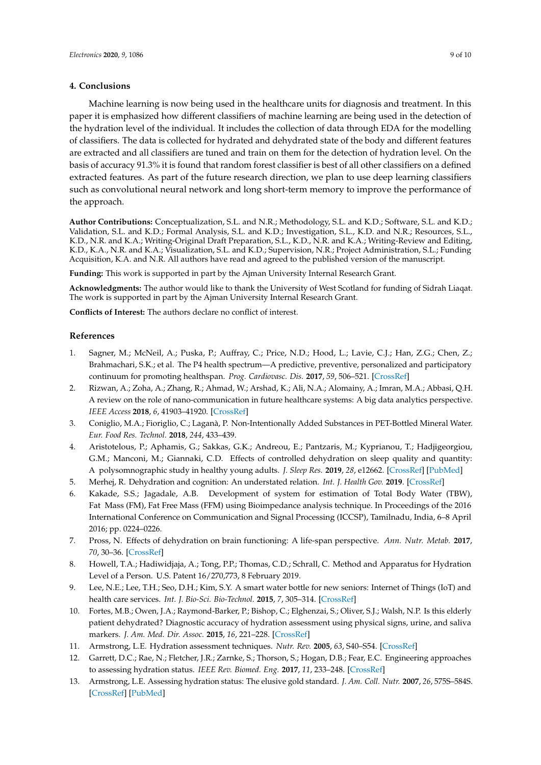## **4. Conclusions**

Machine learning is now being used in the healthcare units for diagnosis and treatment. In this paper it is emphasized how different classifiers of machine learning are being used in the detection of the hydration level of the individual. It includes the collection of data through EDA for the modelling of classifiers. The data is collected for hydrated and dehydrated state of the body and different features are extracted and all classifiers are tuned and train on them for the detection of hydration level. On the basis of accuracy 91.3% it is found that random forest classifier is best of all other classifiers on a defined extracted features. As part of the future research direction, we plan to use deep learning classifiers such as convolutional neural network and long short-term memory to improve the performance of the approach.

**Author Contributions:** Conceptualization, S.L. and N.R.; Methodology, S.L. and K.D.; Software, S.L. and K.D.; Validation, S.L. and K.D.; Formal Analysis, S.L. and K.D.; Investigation, S.L., K.D. and N.R.; Resources, S.L., K.D., N.R. and K.A.; Writing-Original Draft Preparation, S.L., K.D., N.R. and K.A.; Writing-Review and Editing, K.D., K.A., N.R. and K.A.; Visualization, S.L. and K.D.; Supervision, N.R.; Project Administration, S.L.; Funding Acquisition, K.A. and N.R. All authors have read and agreed to the published version of the manuscript.

**Funding:** This work is supported in part by the Ajman University Internal Research Grant.

**Acknowledgments:** The author would like to thank the University of West Scotland for funding of Sidrah Liaqat. The work is supported in part by the Ajman University Internal Research Grant.

**Conflicts of Interest:** The authors declare no conflict of interest.

## **References**

- 1. Sagner, M.; McNeil, A.; Puska, P.; Auffray, C.; Price, N.D.; Hood, L.; Lavie, C.J.; Han, Z.G.; Chen, Z.; Brahmachari, S.K.; et al. The P4 health spectrum—A predictive, preventive, personalized and participatory continuum for promoting healthspan. *Prog. Cardiovasc. Dis.* **2017**, *59*, 506–521. [CrossRef]
- 2. Rizwan, A.; Zoha, A.; Zhang, R.; Ahmad, W.; Arshad, K.; Ali, N.A.; Alomainy, A.; Imran, M.A.; Abbasi, Q.H. A review on the role of nano-communication in future healthcare systems: A big data analytics perspective. *IEEE Access* **2018**, *6*, 41903–41920. [CrossRef]
- 3. Coniglio, M.A.; Fioriglio, C.; Laganà, P. Non-Intentionally Added Substances in PET-Bottled Mineral Water. *Eur. Food Res. Technol.* **2018**, *244*, 433–439.
- 4. Aristotelous, P.; Aphamis, G.; Sakkas, G.K.; Andreou, E.; Pantzaris, M.; Kyprianou, T.; Hadjigeorgiou, G.M.; Manconi, M.; Giannaki, C.D. Effects of controlled dehydration on sleep quality and quantity: A polysomnographic study in healthy young adults. *J. Sleep Res.* **2019**, *28*, e12662. [CrossRef] [PubMed]
- 5. Merhej, R. Dehydration and cognition: An understated relation. *Int. J. Health Gov.* **2019**. [CrossRef]
- 6. Kakade, S.S.; Jagadale, A.B. Development of system for estimation of Total Body Water (TBW), Fat Mass (FM), Fat Free Mass (FFM) using Bioimpedance analysis technique. In Proceedings of the 2016 International Conference on Communication and Signal Processing (ICCSP), Tamilnadu, India, 6–8 April 2016; pp. 0224–0226.
- 7. Pross, N. Effects of dehydration on brain functioning: A life-span perspective. *Ann. Nutr. Metab.* **2017**, *70*, 30–36. [CrossRef]
- 8. Howell, T.A.; Hadiwidjaja, A.; Tong, P.P.; Thomas, C.D.; Schrall, C. Method and Apparatus for Hydration Level of a Person. U.S. Patent 16/270,773, 8 February 2019.
- 9. Lee, N.E.; Lee, T.H.; Seo, D.H.; Kim, S.Y. A smart water bottle for new seniors: Internet of Things (IoT) and health care services. *Int. J. Bio-Sci. Bio-Technol.* **2015**, *7*, 305–314. [CrossRef]
- 10. Fortes, M.B.; Owen, J.A.; Raymond-Barker, P.; Bishop, C.; Elghenzai, S.; Oliver, S.J.; Walsh, N.P. Is this elderly patient dehydrated? Diagnostic accuracy of hydration assessment using physical signs, urine, and saliva markers. *J. Am. Med. Dir. Assoc.* **2015**, *16*, 221–228. [CrossRef]
- 11. Armstrong, L.E. Hydration assessment techniques. *Nutr. Rev.* **2005**, *63*, S40–S54. [CrossRef]
- 12. Garrett, D.C.; Rae, N.; Fletcher, J.R.; Zarnke, S.; Thorson, S.; Hogan, D.B.; Fear, E.C. Engineering approaches to assessing hydration status. *IEEE Rev. Biomed. Eng.* **2017**, *11*, 233–248. [CrossRef]
- 13. Armstrong, L.E. Assessing hydration status: The elusive gold standard. *J. Am. Coll. Nutr.* **2007**, *26*, 575S–584S. [CrossRef] [PubMed]